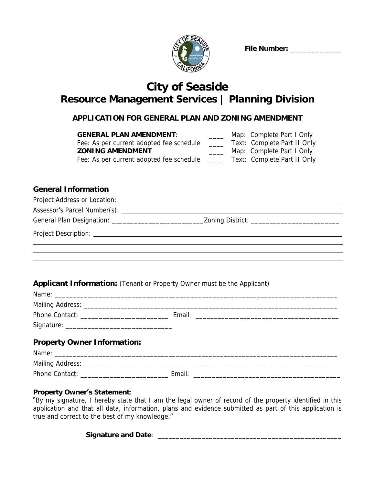

 **File Number: \_\_\_\_\_\_\_\_\_\_\_\_**

# **City of Seaside Resource Management Services | Planning Division**

# **APPLICATION FOR GENERAL PLAN AND ZONING AMENDMENT**

| <b>GENERAL PLAN AMENDMENT:</b>           | Map: Complete Part I Only   |
|------------------------------------------|-----------------------------|
| Fee: As per current adopted fee schedule | Text: Complete Part II Only |
| <b>ZONING AMENDMENT</b>                  | Map: Complete Part I Only   |
| Fee: As per current adopted fee schedule | Text: Complete Part II Only |

# **General Information**

| <b>Applicant Information:</b> (Tenant or Property Owner must be the Applicant) |  |
|--------------------------------------------------------------------------------|--|
|                                                                                |  |
|                                                                                |  |
|                                                                                |  |
| <b>Property Owner Information:</b>                                             |  |
|                                                                                |  |
|                                                                                |  |
|                                                                                |  |

### **Property Owner's Statement**:

"By my signature, I hereby state that I am the legal owner of record of the property identified in this application and that all data, information, plans and evidence submitted as part of this application is true and correct to the best of my knowledge."

**Signature and Date**: \_\_\_\_\_\_\_\_\_\_\_\_\_\_\_\_\_\_\_\_\_\_\_\_\_\_\_\_\_\_\_\_\_\_\_\_\_\_\_\_\_\_\_\_\_\_\_\_\_\_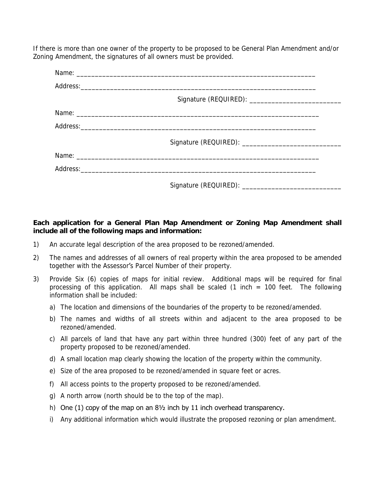If there is more than one owner of the property to be proposed to be General Plan Amendment and/or Zoning Amendment, the signatures of all owners must be provided.

#### **Each application for a General Plan Map Amendment or Zoning Map Amendment shall include all of the following maps and information:**

- 1) An accurate legal description of the area proposed to be rezoned/amended.
- 2) The names and addresses of all owners of real property within the area proposed to be amended together with the Assessor's Parcel Number of their property.
- 3) Provide Six (6) copies of maps for initial review. Additional maps will be required for final processing of this application. All maps shall be scaled  $(1 \text{ inch} = 100 \text{ feet}$ . The following information shall be included:
	- a) The location and dimensions of the boundaries of the property to be rezoned/amended.
	- b) The names and widths of all streets within and adjacent to the area proposed to be rezoned/amended.
	- c) All parcels of land that have any part within three hundred (300) feet of any part of the property proposed to be rezoned/amended.
	- d) A small location map clearly showing the location of the property within the community.
	- e) Size of the area proposed to be rezoned/amended in square feet or acres.
	- f) All access points to the property proposed to be rezoned/amended.
	- g) A north arrow (north should be to the top of the map).
	- h) One (1) copy of the map on an  $8\frac{1}{2}$  inch by 11 inch overhead transparency.
	- i) Any additional information which would illustrate the proposed rezoning or plan amendment.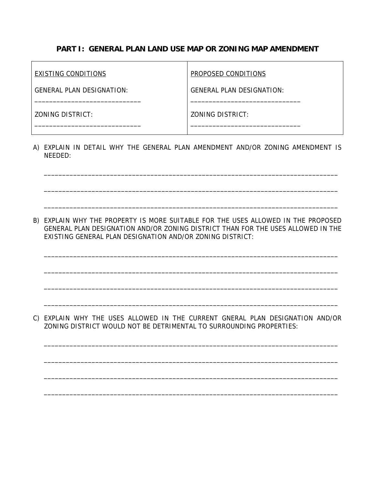## **PART I: GENERAL PLAN LAND USE MAP OR ZONING MAP AMENDMENT**

| EXISTING CONDITIONS              | <b>PROPOSED CONDITIONS</b> |  |
|----------------------------------|----------------------------|--|
| <b>GENERAL PLAN DESIGNATION:</b> | GENERAL PLAN DESIGNATION:  |  |
| ZONING DISTRICT:                 | ZONING DISTRICT:           |  |

A) EXPLAIN IN DETAIL WHY THE GENERAL PLAN AMENDMENT AND/OR ZONING AMENDMENT IS NEEDED:

\_\_\_\_\_\_\_\_\_\_\_\_\_\_\_\_\_\_\_\_\_\_\_\_\_\_\_\_\_\_\_\_\_\_\_\_\_\_\_\_\_\_\_\_\_\_\_\_\_\_\_\_\_\_\_\_\_\_\_\_\_\_\_\_\_\_\_\_\_\_\_\_\_\_\_\_\_\_\_\_

\_\_\_\_\_\_\_\_\_\_\_\_\_\_\_\_\_\_\_\_\_\_\_\_\_\_\_\_\_\_\_\_\_\_\_\_\_\_\_\_\_\_\_\_\_\_\_\_\_\_\_\_\_\_\_\_\_\_\_\_\_\_\_\_\_\_\_\_\_\_\_\_\_\_\_\_\_\_\_\_

\_\_\_\_\_\_\_\_\_\_\_\_\_\_\_\_\_\_\_\_\_\_\_\_\_\_\_\_\_\_\_\_\_\_\_\_\_\_\_\_\_\_\_\_\_\_\_\_\_\_\_\_\_\_\_\_\_\_\_\_\_\_\_\_\_\_\_\_\_\_\_\_\_\_\_\_\_\_\_\_

B) EXPLAIN WHY THE PROPERTY IS MORE SUITABLE FOR THE USES ALLOWED IN THE PROPOSED GENERAL PLAN DESIGNATION AND/OR ZONING DISTRICT THAN FOR THE USES ALLOWED IN THE EXISTING GENERAL PLAN DESIGNATION AND/OR ZONING DISTRICT:

\_\_\_\_\_\_\_\_\_\_\_\_\_\_\_\_\_\_\_\_\_\_\_\_\_\_\_\_\_\_\_\_\_\_\_\_\_\_\_\_\_\_\_\_\_\_\_\_\_\_\_\_\_\_\_\_\_\_\_\_\_\_\_\_\_\_\_\_\_\_\_\_\_\_\_\_\_\_\_\_

\_\_\_\_\_\_\_\_\_\_\_\_\_\_\_\_\_\_\_\_\_\_\_\_\_\_\_\_\_\_\_\_\_\_\_\_\_\_\_\_\_\_\_\_\_\_\_\_\_\_\_\_\_\_\_\_\_\_\_\_\_\_\_\_\_\_\_\_\_\_\_\_\_\_\_\_\_\_\_\_

\_\_\_\_\_\_\_\_\_\_\_\_\_\_\_\_\_\_\_\_\_\_\_\_\_\_\_\_\_\_\_\_\_\_\_\_\_\_\_\_\_\_\_\_\_\_\_\_\_\_\_\_\_\_\_\_\_\_\_\_\_\_\_\_\_\_\_\_\_\_\_\_\_\_\_\_\_\_\_\_

\_\_\_\_\_\_\_\_\_\_\_\_\_\_\_\_\_\_\_\_\_\_\_\_\_\_\_\_\_\_\_\_\_\_\_\_\_\_\_\_\_\_\_\_\_\_\_\_\_\_\_\_\_\_\_\_\_\_\_\_\_\_\_\_\_\_\_\_\_\_\_\_\_\_\_\_\_\_\_\_

C) EXPLAIN WHY THE USES ALLOWED IN THE CURRENT GNERAL PLAN DESIGNATION AND/OR ZONING DISTRICT WOULD NOT BE DETRIMENTAL TO SURROUNDING PROPERTIES:

\_\_\_\_\_\_\_\_\_\_\_\_\_\_\_\_\_\_\_\_\_\_\_\_\_\_\_\_\_\_\_\_\_\_\_\_\_\_\_\_\_\_\_\_\_\_\_\_\_\_\_\_\_\_\_\_\_\_\_\_\_\_\_\_\_\_\_\_\_\_\_\_\_\_\_\_\_\_\_\_

\_\_\_\_\_\_\_\_\_\_\_\_\_\_\_\_\_\_\_\_\_\_\_\_\_\_\_\_\_\_\_\_\_\_\_\_\_\_\_\_\_\_\_\_\_\_\_\_\_\_\_\_\_\_\_\_\_\_\_\_\_\_\_\_\_\_\_\_\_\_\_\_\_\_\_\_\_\_\_\_

\_\_\_\_\_\_\_\_\_\_\_\_\_\_\_\_\_\_\_\_\_\_\_\_\_\_\_\_\_\_\_\_\_\_\_\_\_\_\_\_\_\_\_\_\_\_\_\_\_\_\_\_\_\_\_\_\_\_\_\_\_\_\_\_\_\_\_\_\_\_\_\_\_\_\_\_\_\_\_\_

\_\_\_\_\_\_\_\_\_\_\_\_\_\_\_\_\_\_\_\_\_\_\_\_\_\_\_\_\_\_\_\_\_\_\_\_\_\_\_\_\_\_\_\_\_\_\_\_\_\_\_\_\_\_\_\_\_\_\_\_\_\_\_\_\_\_\_\_\_\_\_\_\_\_\_\_\_\_\_\_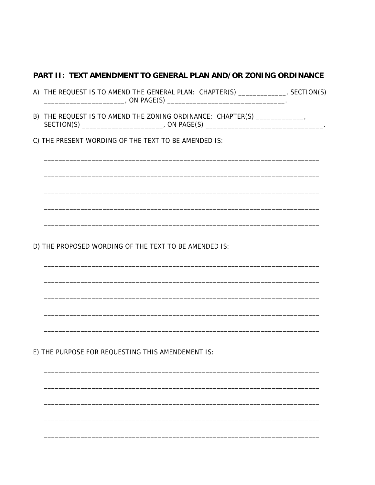### PART II: TEXT AMENDMENT TO GENERAL PLAN AND/OR ZONING ORDINANCE

| (A) | FREQUEST IS TO AMEND THE GENERAL PLAN: T<br>HF. | <b>CHAPT</b> | ) N t |
|-----|-------------------------------------------------|--------------|-------|
|     | ∩∧∩<br>JNL F                                    |              |       |

- B) THE REQUEST IS TO AMEND THE ZONING ORDINANCE: CHAPTER(S) \_\_\_\_\_\_\_\_\_\_\_\_\_\_\_,
- C) THE PRESENT WORDING OF THE TEXT TO BE AMENDED IS:

D) THE PROPOSED WORDING OF THE TEXT TO BE AMENDED IS:

E) THE PURPOSE FOR REQUESTING THIS AMENDEMENT IS: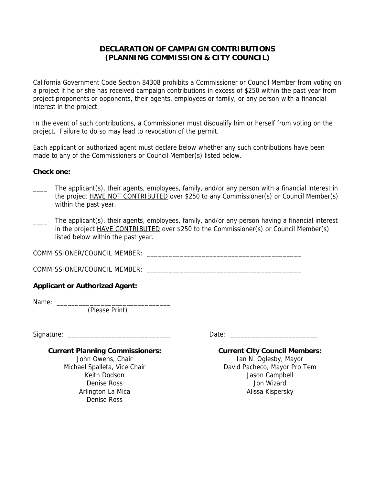## **DECLARATION OF CAMPAIGN CONTRIBUTIONS (PLANNING COMMISSION & CITY COUNCIL)**

California Government Code Section 84308 prohibits a Commissioner or Council Member from voting on a project if he or she has received campaign contributions in excess of \$250 within the past year from project proponents or opponents, their agents, employees or family, or any person with a financial interest in the project.

In the event of such contributions, a Commissioner must disqualify him or herself from voting on the project. Failure to do so may lead to revocation of the permit.

Each applicant or authorized agent must declare below whether any such contributions have been made to any of the Commissioners or Council Member(s) listed below.

#### **Check one:**

- The applicant(s), their agents, employees, family, and/or any person with a financial interest in the project **HAVE NOT CONTRIBUTED** over \$250 to any Commissioner(s) or Council Member(s) within the past year.
- The applicant(s), their agents, employees, family, and/or any person having a financial interest in the project HAVE CONTRIBUTED over \$250 to the Commissioner(s) or Council Member(s) listed below within the past year.

COMMISSIONER/COUNCIL MEMBER: \_\_\_\_\_\_\_\_\_\_\_\_\_\_\_\_\_\_\_\_\_\_\_\_\_\_\_\_\_\_\_\_\_\_\_\_\_\_\_\_\_\_

COMMISSIONER/COUNCIL MEMBER: \_\_\_\_\_\_\_\_\_\_\_\_\_\_\_\_\_\_\_\_\_\_\_\_\_\_\_\_\_\_\_\_\_\_\_\_\_\_\_\_\_\_

#### **Applicant or Authorized Agent:**

Name: \_\_\_\_\_\_\_\_\_\_\_\_\_\_\_\_\_\_\_\_\_\_\_\_\_\_\_\_\_\_\_

(Please Print)

Signature: \_\_\_\_\_\_\_\_\_\_\_\_\_\_\_\_\_\_\_\_\_\_\_\_\_\_\_\_ Date: \_\_\_\_\_\_\_\_\_\_\_\_\_\_\_\_\_\_\_\_\_\_\_\_

#### **Current Planning Commissioners:**

John Owens, Chair Michael Spalleta, Vice Chair Keith Dodson Denise Ross Arlington La Mica Denise Ross

**Current City Council Members:** Ian N. Oglesby, Mayor

David Pacheco, Mayor Pro Tem Jason Campbell Jon Wizard Alissa Kispersky